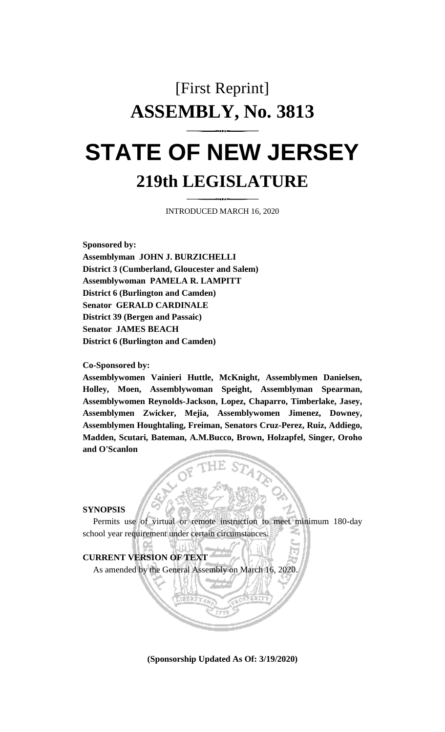# [First Reprint] **ASSEMBLY, No. 3813 STATE OF NEW JERSEY 219th LEGISLATURE**

INTRODUCED MARCH 16, 2020

**Sponsored by:**

**Assemblyman JOHN J. BURZICHELLI District 3 (Cumberland, Gloucester and Salem) Assemblywoman PAMELA R. LAMPITT District 6 (Burlington and Camden) Senator GERALD CARDINALE District 39 (Bergen and Passaic) Senator JAMES BEACH District 6 (Burlington and Camden)**

**Co-Sponsored by:**

**Assemblywomen Vainieri Huttle, McKnight, Assemblymen Danielsen, Holley, Moen, Assemblywoman Speight, Assemblyman Spearman, Assemblywomen Reynolds-Jackson, Lopez, Chaparro, Timberlake, Jasey, Assemblymen Zwicker, Mejia, Assemblywomen Jimenez, Downey, Assemblymen Houghtaling, Freiman, Senators Cruz-Perez, Ruiz, Addiego, Madden, Scutari, Bateman, A.M.Bucco, Brown, Holzapfel, Singer, Oroho and O'Scanlon**

### **SYNOPSIS**

Permits use of virtual or remote instruction to meet minimum 180-day school year requirement under certain circumstances.

## **CURRENT VERSION OF TEXT**

As amended by the General Assembly on March 16, 2020.

**(Sponsorship Updated As Of: 3/19/2020)**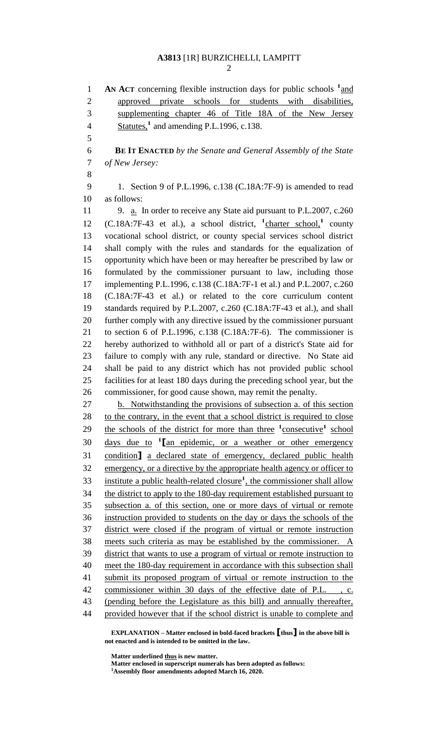**AN ACT** concerning flexible instruction days for public schools  $\frac{1}{2}$  and approved private schools for students with disabilities, supplementing chapter 46 of Title 18A of the New Jersey **Statutes,<sup>1</sup>** and amending P.L.1996, c.138. **BE IT ENACTED** *by the Senate and General Assembly of the State of New Jersey:* 1. Section 9 of P.L.1996, c.138 (C.18A:7F-9) is amended to read as follows: 11 9. a. In order to receive any State aid pursuant to P.L.2007, c.260 12 (C.18A:7F-43 et al.), a school district, <sup>1</sup>charter school,<sup>1</sup> county vocational school district, or county special services school district shall comply with the rules and standards for the equalization of opportunity which have been or may hereafter be prescribed by law or formulated by the commissioner pursuant to law, including those implementing P.L.1996, c.138 (C.18A:7F-1 et al.) and P.L.2007, c.260 (C.18A:7F-43 et al.) or related to the core curriculum content standards required by P.L.2007, c.260 (C.18A:7F-43 et al.), and shall further comply with any directive issued by the commissioner pursuant to section 6 of P.L.1996, c.138 (C.18A:7F-6). The commissioner is hereby authorized to withhold all or part of a district's State aid for failure to comply with any rule, standard or directive. No State aid shall be paid to any district which has not provided public school facilities for at least 180 days during the preceding school year, but the commissioner, for good cause shown, may remit the penalty. b. Notwithstanding the provisions of subsection a. of this section 28 to the contrary, in the event that a school district is required to close 29 the schools of the district for more than three <sup>1</sup>consecutive<sup>1</sup> school 30 <u>days due to <sup>1</sup> [an epidemic, or a weather or other emergency</u> condition**]** a declared state of emergency, declared public health emergency, or a directive by the appropriate health agency or officer to 33 institute a public health-related closure<sup>1</sup>, the commissioner shall allow the district to apply to the 180-day requirement established pursuant to subsection a. of this section, one or more days of virtual or remote instruction provided to students on the day or days the schools of the district were closed if the program of virtual or remote instruction meets such criteria as may be established by the commissioner. A district that wants to use a program of virtual or remote instruction to meet the 180-day requirement in accordance with this subsection shall submit its proposed program of virtual or remote instruction to the commissioner within 30 days of the effective date of P.L. , c. (pending before the Legislature as this bill) and annually thereafter, provided however that if the school district is unable to complete and

**EXPLANATION – Matter enclosed in bold-faced brackets [thus] in the above bill is not enacted and is intended to be omitted in the law.**

**Matter underlined thus is new matter.**

**Matter enclosed in superscript numerals has been adopted as follows: Assembly floor amendments adopted March 16, 2020.**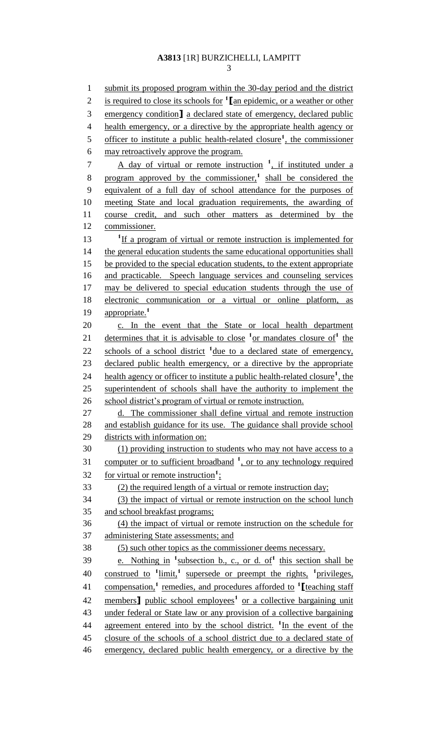3

1 submit its proposed program within the 30-day period and the district is required to close its schools for **<sup>1</sup>** 2 **[**an epidemic, or a weather or other 3 emergency condition**]** a declared state of emergency, declared public 4 health emergency, or a directive by the appropriate health agency or 5 officer to institute a public health-related closure<sup>1</sup>, the commissioner 6 may retroactively approve the program. 7 A day of virtual or remote instruction <sup>1</sup>, if instituted under a 8 program approved by the commissioner,<sup>1</sup> shall be considered the 9 equivalent of a full day of school attendance for the purposes of 10 meeting State and local graduation requirements, the awarding of 11 course credit, and such other matters as determined by the 12 commissioner. 13 **If a program of virtual or remote instruction is implemented for** 14 the general education students the same educational opportunities shall 15 be provided to the special education students, to the extent appropriate 16 and practicable. Speech language services and counseling services 17 may be delivered to special education students through the use of 18 electronic communication or a virtual or online platform, as 19 appropriate.<sup>1</sup> 20 c. In the event that the State or local health department 21 determines that it is advisable to close  $\frac{1}{x}$  or mandates closure of  $\frac{1}{x}$  the 22 schools of a school district <sup>1</sup> due to a declared state of emergency, 23 declared public health emergency, or a directive by the appropriate 24 health agency or officer to institute a public health-related closure<sup>1</sup>, the 25 superintendent of schools shall have the authority to implement the 26 school district's program of virtual or remote instruction. 27 d. The commissioner shall define virtual and remote instruction 28 and establish guidance for its use. The guidance shall provide school 29 districts with information on: 30 (1) providing instruction to students who may not have access to a 31 computer or to sufficient broadband <sup>1</sup>, or to any technology required 32 for virtual or remote instruction<sup>1</sup>; 33 (2) the required length of a virtual or remote instruction day; 34 (3) the impact of virtual or remote instruction on the school lunch 35 and school breakfast programs; 36 (4) the impact of virtual or remote instruction on the schedule for 37 administering State assessments; and 38 (5) such other topics as the commissioner deems necessary. 39 e. Nothing in <sup>1</sup> subsection b., c., or d. of<sup>1</sup> this section shall be 40 construed to <sup>1</sup>limit,<sup>1</sup> supersede or preempt the rights, <sup>1</sup>privileges, compensation,**<sup>1</sup>** remedies, and procedures afforded to **<sup>1</sup>** 41 **[**teaching staff 42 members<sup>1</sup> public school employees<sup>1</sup> or a collective bargaining unit 43 under federal or State law or any provision of a collective bargaining 44 agreement entered into by the school district. <sup>1</sup>In the event of the 45 closure of the schools of a school district due to a declared state of 46 emergency, declared public health emergency, or a directive by the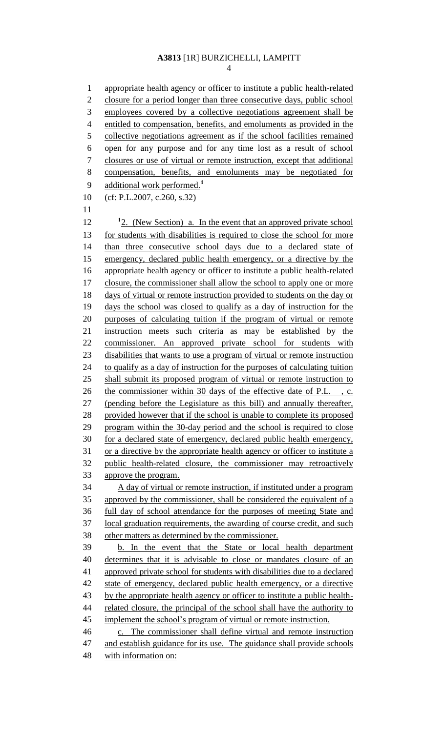appropriate health agency or officer to institute a public health-related closure for a period longer than three consecutive days, public school employees covered by a collective negotiations agreement shall be entitled to compensation, benefits, and emoluments as provided in the collective negotiations agreement as if the school facilities remained open for any purpose and for any time lost as a result of school closures or use of virtual or remote instruction, except that additional compensation, benefits, and emoluments may be negotiated for additional work performed.**<sup>1</sup>** (cf: P.L.2007, c.260, s.32) 12 <sup>1</sup>2. (New Section) a. In the event that an approved private school for students with disabilities is required to close the school for more than three consecutive school days due to a declared state of emergency, declared public health emergency, or a directive by the appropriate health agency or officer to institute a public health-related 17 closure, the commissioner shall allow the school to apply one or more days of virtual or remote instruction provided to students on the day or days the school was closed to qualify as a day of instruction for the purposes of calculating tuition if the program of virtual or remote instruction meets such criteria as may be established by the commissioner. An approved private school for students with disabilities that wants to use a program of virtual or remote instruction to qualify as a day of instruction for the purposes of calculating tuition shall submit its proposed program of virtual or remote instruction to the commissioner within 30 days of the effective date of P.L. , c. (pending before the Legislature as this bill) and annually thereafter, provided however that if the school is unable to complete its proposed program within the 30-day period and the school is required to close for a declared state of emergency, declared public health emergency, or a directive by the appropriate health agency or officer to institute a public health-related closure, the commissioner may retroactively approve the program. A day of virtual or remote instruction, if instituted under a program 35 approved by the commissioner, shall be considered the equivalent of a full day of school attendance for the purposes of meeting State and local graduation requirements, the awarding of course credit, and such other matters as determined by the commissioner. b. In the event that the State or local health department determines that it is advisable to close or mandates closure of an approved private school for students with disabilities due to a declared 42 state of emergency, declared public health emergency, or a directive 43 by the appropriate health agency or officer to institute a public health-44 related closure, the principal of the school shall have the authority to implement the school's program of virtual or remote instruction. c. The commissioner shall define virtual and remote instruction 47 and establish guidance for its use. The guidance shall provide schools with information on: